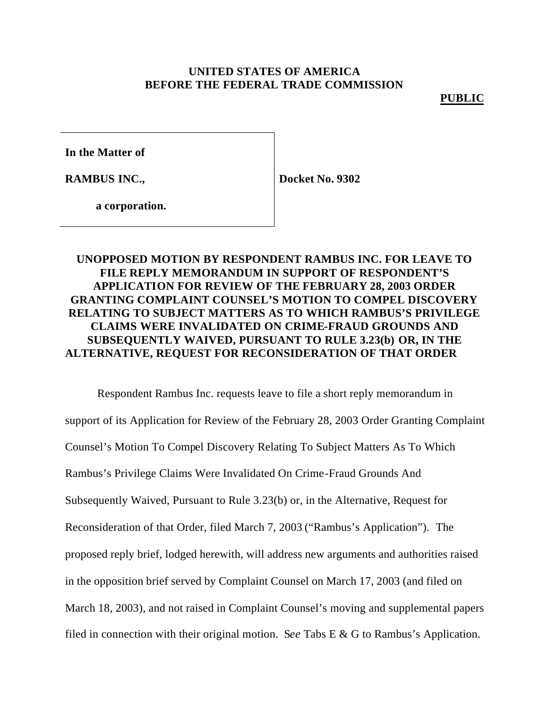## **UNITED STATES OF AMERICA BEFORE THE FEDERAL TRADE COMMISSION**

**PUBLIC**

**In the Matter of**

**RAMBUS INC.,**

**Docket No. 9302**

**a corporation.**

## **UNOPPOSED MOTION BY RESPONDENT RAMBUS INC. FOR LEAVE TO FILE REPLY MEMORANDUM IN SUPPORT OF RESPONDENT'S APPLICATION FOR REVIEW OF THE FEBRUARY 28, 2003 ORDER GRANTING COMPLAINT COUNSEL'S MOTION TO COMPEL DISCOVERY RELATING TO SUBJECT MATTERS AS TO WHICH RAMBUS'S PRIVILEGE CLAIMS WERE INVALIDATED ON CRIME-FRAUD GROUNDS AND SUBSEQUENTLY WAIVED, PURSUANT TO RULE 3.23(b) OR, IN THE ALTERNATIVE, REQUEST FOR RECONSIDERATION OF THAT ORDER**

Respondent Rambus Inc. requests leave to file a short reply memorandum in support of its Application for Review of the February 28, 2003 Order Granting Complaint Counsel's Motion To Compel Discovery Relating To Subject Matters As To Which Rambus's Privilege Claims Were Invalidated On Crime-Fraud Grounds And Subsequently Waived, Pursuant to Rule 3.23(b) or, in the Alternative, Request for Reconsideration of that Order, filed March 7, 2003 ("Rambus's Application"). The proposed reply brief, lodged herewith, will address new arguments and authorities raised in the opposition brief served by Complaint Counsel on March 17, 2003 (and filed on March 18, 2003), and not raised in Complaint Counsel's moving and supplemental papers filed in connection with their original motion. S*ee* Tabs E & G to Rambus's Application.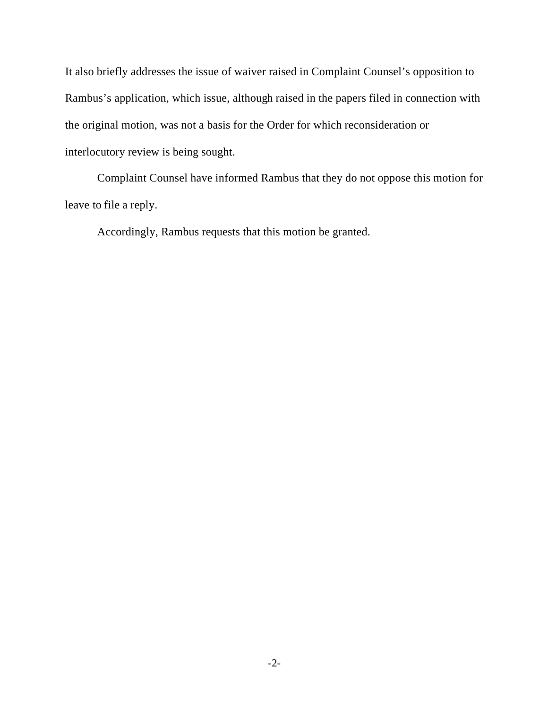It also briefly addresses the issue of waiver raised in Complaint Counsel's opposition to Rambus's application, which issue, although raised in the papers filed in connection with the original motion, was not a basis for the Order for which reconsideration or interlocutory review is being sought.

Complaint Counsel have informed Rambus that they do not oppose this motion for leave to file a reply.

Accordingly, Rambus requests that this motion be granted.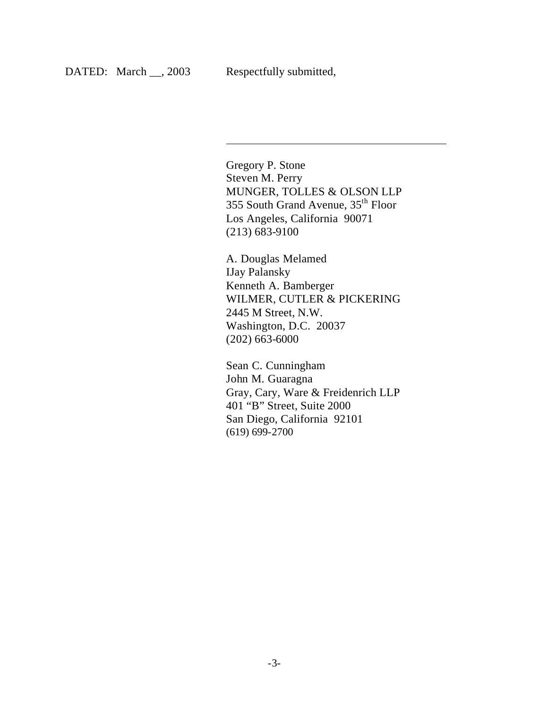$\overline{\phantom{a}}$ 

Gregory P. Stone Steven M. Perry MUNGER, TOLLES & OLSON LLP 355 South Grand Avenue, 35th Floor Los Angeles, California 90071 (213) 683-9100

A. Douglas Melamed IJay Palansky Kenneth A. Bamberger WILMER, CUTLER & PICKERING 2445 M Street, N.W. Washington, D.C. 20037 (202) 663-6000

Sean C. Cunningham John M. Guaragna Gray, Cary, Ware & Freidenrich LLP 401 "B" Street, Suite 2000 San Diego, California 92101 (619) 699-2700